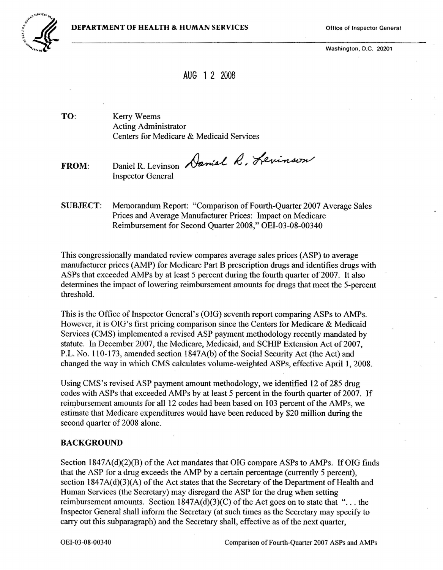

Washington, D.C. 20201

# AUG 1 2 <sup>2008</sup>

TO: Kerry Weems Acting Administrator Centers for Medicare & Medicaid Services

FROM: Daniel R. Levinson Daniel R. Levinson Inspector General

SUBJECT: Memorandum Report: "Comparison of Fourth-Quarter 2007 Average Sales Prices and Average Manufacturer Prices: Impact on Medicare Reimbursement for Second Quarter 2008," OEI-03-08-00340

This congressionally mandated review compares average sales prices (ASP) to average manufacturer prices (AMP) for Medicare Part B prescription drugs and identifies drugs with ASPs that exceeded AMPs by at least 5 percent during the fourth quarter of 2007. It also determines the impact of lowering reimbursement amounts for drugs that meet the 5-percent threshold.

This is the Office of Inspector General's (OIG) seventh report comparing ASPs to AMPs. However, it is DIG's first pricing comparison since the Centers for Medicare & Medicaid Services (CMS) implemented a revised ASP payment methodology recently mandated by statute. In December 2007, the Medicare, Medicaid, and SCHIP Extension Act of 2007, P.L. No. 110-173, amended section 1847A(b) of the Social Security Act (the Act) and changed the way in which CMS calculates volume-weighted ASPs, effective April 1, 2008.

Using CMS's revised ASP payment amount methodology, we identified 12 of 285 drug codes with ASPs that exceeded AMPs by at least 5 percent in the fourth quarter of 2007. If reimbursement amounts for all 12 codes had been based on 103 percent of the AMPs, we estimate that Medicare expenditures would have been reduced by \$20 million during the second quarter of 2008 alone.

#### BACKGROUND

Section  $1847A(d)(2)(B)$  of the Act mandates that OIG compare ASPs to AMPs. If OIG finds that the ASP for a drug exceeds the AMP by a certain percentage (currently 5 percent), section  $1847A(d)(3)(A)$  of the Act states that the Secretary of the Department of Health and Human Services (the Secretary) may disregard the ASP for the drug when setting reimbursement amounts. Section  $1847A(d)(3)(C)$  of the Act goes on to state that "... the Inspector General shall inform the Secretary (at such times as the Secretary may specify to carry out this subparagraph) and the Secretary shall, effective as of the next quarter,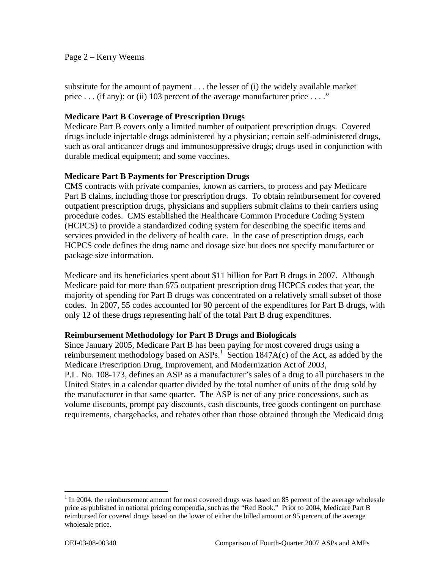## Page 2 – Kerry Weems

substitute for the amount of payment . . . the lesser of (i) the widely available market price . . . (if any); or (ii) 103 percent of the average manufacturer price . . . ."

## **Medicare Part B Coverage of Prescription Drugs**

Medicare Part B covers only a limited number of outpatient prescription drugs. Covered drugs include injectable drugs administered by a physician; certain self-administered drugs, such as oral anticancer drugs and immunosuppressive drugs; drugs used in conjunction with durable medical equipment; and some vaccines.

## **Medicare Part B Payments for Prescription Drugs**

CMS contracts with private companies, known as carriers, to process and pay Medicare Part B claims, including those for prescription drugs. To obtain reimbursement for covered outpatient prescription drugs, physicians and suppliers submit claims to their carriers using procedure codes. CMS established the Healthcare Common Procedure Coding System (HCPCS) to provide a standardized coding system for describing the specific items and services provided in the delivery of health care. In the case of prescription drugs, each HCPCS code defines the drug name and dosage size but does not specify manufacturer or package size information.

Medicare and its beneficiaries spent about \$11 billion for Part B drugs in 2007. Although Medicare paid for more than 675 outpatient prescription drug HCPCS codes that year, the majority of spending for Part B drugs was concentrated on a relatively small subset of those codes. In 2007, 55 codes accounted for 90 percent of the expenditures for Part B drugs, with only 12 of these drugs representing half of the total Part B drug expenditures.

## **Reimbursement Methodology for Part B Drugs and Biologicals**

Since January 2005, Medicare Part B has been paying for most covered drugs using a reimbursement methodology based on  $ASPs<sup>1</sup>$ . Section 1847A(c) of the Act, as added by the Medicare Prescription Drug, Improvement, and Modernization Act of 2003, P.L. No. 108-173, defines an ASP as a manufacturer's sales of a drug to all purchasers in the United States in a calendar quarter divided by the total number of units of the drug sold by the manufacturer in that same quarter. The ASP is net of any price concessions, such as volume discounts, prompt pay discounts, cash discounts, free goods contingent on purchase requirements, chargebacks, and rebates other than those obtained through the Medicaid drug

 reimbursed for covered drugs based on the lower of either the billed amount or 95 percent of the average  $1$  In 2004, the reimbursement amount for most covered drugs was based on 85 percent of the average wholesale price as published in national pricing compendia, such as the "Red Book." Prior to 2004, Medicare Part B wholesale price.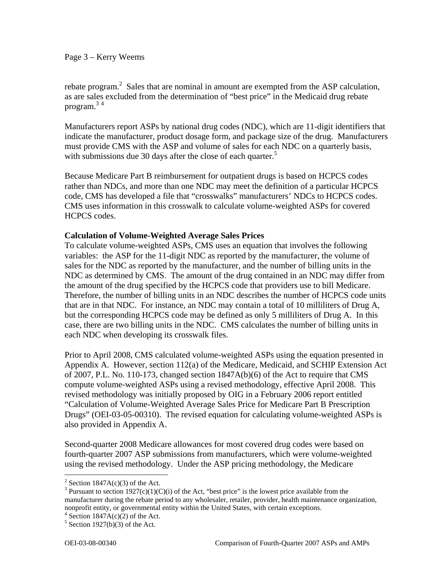Page 3 – Kerry Weems

program.<sup>34</sup> rebate program.<sup>2</sup> Sales that are nominal in amount are exempted from the ASP calculation, as are sales excluded from the determination of "best price" in the Medicaid drug rebate

Manufacturers report ASPs by national drug codes (NDC), which are 11-digit identifiers that indicate the manufacturer, product dosage form, and package size of the drug. Manufacturers must provide CMS with the ASP and volume of sales for each NDC on a quarterly basis, with submissions due 30 days after the close of each quarter. $5$ 

Because Medicare Part B reimbursement for outpatient drugs is based on HCPCS codes rather than NDCs, and more than one NDC may meet the definition of a particular HCPCS code, CMS has developed a file that "crosswalks" manufacturers' NDCs to HCPCS codes. CMS uses information in this crosswalk to calculate volume-weighted ASPs for covered HCPCS codes.

## **Calculation of Volume-Weighted Average Sales Prices**

To calculate volume-weighted ASPs, CMS uses an equation that involves the following variables: the ASP for the 11-digit NDC as reported by the manufacturer, the volume of sales for the NDC as reported by the manufacturer, and the number of billing units in the NDC as determined by CMS. The amount of the drug contained in an NDC may differ from the amount of the drug specified by the HCPCS code that providers use to bill Medicare. Therefore, the number of billing units in an NDC describes the number of HCPCS code units that are in that NDC. For instance, an NDC may contain a total of 10 milliliters of Drug A, but the corresponding HCPCS code may be defined as only 5 milliliters of Drug A. In this case, there are two billing units in the NDC. CMS calculates the number of billing units in each NDC when developing its crosswalk files.

Prior to April 2008, CMS calculated volume-weighted ASPs using the equation presented in Appendix A. However, section 112(a) of the Medicare, Medicaid, and SCHIP Extension Act of 2007, P.L. No. 110-173, changed section 1847A(b)(6) of the Act to require that CMS compute volume-weighted ASPs using a revised methodology, effective April 2008. This revised methodology was initially proposed by OIG in a February 2006 report entitled "Calculation of Volume-Weighted Average Sales Price for Medicare Part B Prescription Drugs" (OEI-03-05-00310). The revised equation for calculating volume-weighted ASPs is also provided in Appendix A.

Second-quarter 2008 Medicare allowances for most covered drug codes were based on fourth-quarter 2007 ASP submissions from manufacturers, which were volume-weighted using the revised methodology. Under the ASP pricing methodology, the Medicare

<sup>&</sup>lt;sup>2</sup> Section 1847A(c)(3) of the Act.

<sup>&</sup>lt;sup>3</sup> Pursuant to section 1927(c)(1)(C)(i) of the Act, "best price" is the lowest price available from the manufacturer during the rebate period to any wholesaler, retailer, provider, health maintenance organization, nonprofit entity, or governmental entity within the United States, with certain exceptions.

 $4$  Section 1847A(c)(2) of the Act.

 $5$  Section 1927(b)(3) of the Act.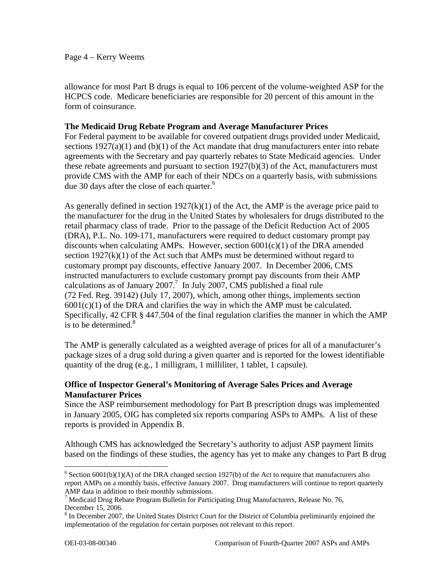#### Page 4 – Kerry Weems

allowance for most Part B drugs is equal to 106 percent of the volume-weighted ASP for the HCPCS code. Medicare beneficiaries are responsible for 20 percent of this amount in the form of coinsurance.

## **The Medicaid Drug Rebate Program and Average Manufacturer Prices**

due 30 days after the close of each quarter.<sup>6</sup> For Federal payment to be available for covered outpatient drugs provided under Medicaid, sections  $1927(a)(1)$  and  $(b)(1)$  of the Act mandate that drug manufacturers enter into rebate agreements with the Secretary and pay quarterly rebates to State Medicaid agencies. Under these rebate agreements and pursuant to section 1927(b)(3) of the Act, manufacturers must provide CMS with the AMP for each of their NDCs on a quarterly basis, with submissions

As generally defined in section  $1927(k)(1)$  of the Act, the AMP is the average price paid to the manufacturer for the drug in the United States by wholesalers for drugs distributed to the retail pharmacy class of trade. Prior to the passage of the Deficit Reduction Act of 2005 (DRA), P.L. No. 109-171, manufacturers were required to deduct customary prompt pay discounts when calculating AMPs. However, section  $6001(c)(1)$  of the DRA amended section  $1927(k)(1)$  of the Act such that AMPs must be determined without regard to customary prompt pay discounts, effective January 2007. In December 2006, CMS instructed manufacturers to exclude customary prompt pay discounts from their AMP calculations as of January 2007.<sup>7</sup> In July 2007, CMS published a final rule (72 Fed. Reg. 39142) (July 17, 2007), which, among other things, implements section  $6001(c)(1)$  of the DRA and clarifies the way in which the AMP must be calculated. Specifically, 42 CFR § 447.504 of the final regulation clarifies the manner in which the AMP is to be determined. $8<sup>8</sup>$ 

The AMP is generally calculated as a weighted average of prices for all of a manufacturer's package sizes of a drug sold during a given quarter and is reported for the lowest identifiable quantity of the drug (e.g., 1 milligram, 1 milliliter, 1 tablet, 1 capsule).

# **Office of Inspector General's Monitoring of Average Sales Prices and Average Manufacturer Prices**

Since the ASP reimbursement methodology for Part B prescription drugs was implemented in January 2005, OIG has completed six reports comparing ASPs to AMPs. A list of these reports is provided in Appendix B.

Although CMS has acknowledged the Secretary's authority to adjust ASP payment limits based on the findings of these studies, the agency has yet to make any changes to Part B drug

 $6$  Section 6001(b)(1)(A) of the DRA changed section 1927(b) of the Act to require that manufacturers also report AMPs on a monthly basis, effective January 2007. Drug manufacturers will continue to report quarterly AMP data in addition to their monthly submissions.

<sup>&</sup>lt;sup>7</sup> Medicaid Drug Rebate Program Bulletin for Participating Drug Manufacturers, Release No. 76, December 15, 2006.

 implementation of the regulation for certain purposes not relevant to this report. <sup>8</sup> In December 2007, the United States District Court for the District of Columbia preliminarily enjoined the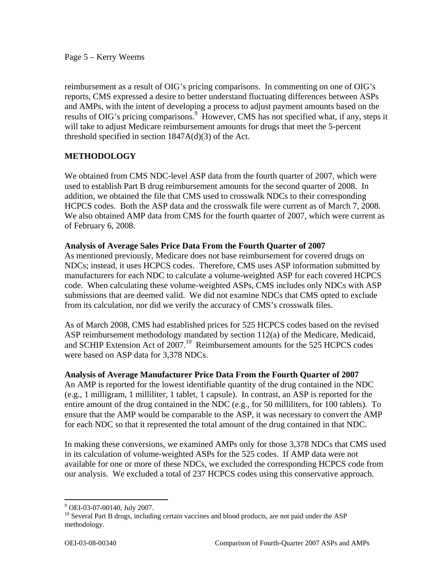#### Page 5 – Kerry Weems

reimbursement as a result of OIG's pricing comparisons. In commenting on one of OIG's reports, CMS expressed a desire to better understand fluctuating differences between ASPs and AMPs, with the intent of developing a process to adjust payment amounts based on the results of OIG's pricing comparisons.<sup>9</sup> However, CMS has not specified what, if any, steps it will take to adjust Medicare reimbursement amounts for drugs that meet the 5-percent threshold specified in section 1847A(d)(3) of the Act.

# **METHODOLOGY**

We obtained from CMS NDC-level ASP data from the fourth quarter of 2007, which were used to establish Part B drug reimbursement amounts for the second quarter of 2008. In addition, we obtained the file that CMS used to crosswalk NDCs to their corresponding HCPCS codes. Both the ASP data and the crosswalk file were current as of March 7, 2008. We also obtained AMP data from CMS for the fourth quarter of 2007, which were current as of February 6, 2008.

# **Analysis of Average Sales Price Data From the Fourth Quarter of 2007**

As mentioned previously, Medicare does not base reimbursement for covered drugs on NDCs; instead, it uses HCPCS codes. Therefore, CMS uses ASP information submitted by manufacturers for each NDC to calculate a volume-weighted ASP for each covered HCPCS code. When calculating these volume-weighted ASPs, CMS includes only NDCs with ASP submissions that are deemed valid. We did not examine NDCs that CMS opted to exclude from its calculation, nor did we verify the accuracy of CMS's crosswalk files.

As of March 2008, CMS had established prices for 525 HCPCS codes based on the revised ASP reimbursement methodology mandated by section 112(a) of the Medicare, Medicaid, and SCHIP Extension Act of 2007.<sup>10</sup> Reimbursement amounts for the 525 HCPCS codes were based on ASP data for 3,378 NDCs.

## **Analysis of Average Manufacturer Price Data From the Fourth Quarter of 2007**

An AMP is reported for the lowest identifiable quantity of the drug contained in the NDC (e.g., 1 milligram, 1 milliliter, 1 tablet, 1 capsule). In contrast, an ASP is reported for the entire amount of the drug contained in the NDC (e.g., for 50 milliliters, for 100 tablets). To ensure that the AMP would be comparable to the ASP, it was necessary to convert the AMP for each NDC so that it represented the total amount of the drug contained in that NDC.

In making these conversions, we examined AMPs only for those 3,378 NDCs that CMS used in its calculation of volume-weighted ASPs for the 525 codes. If AMP data were not available for one or more of these NDCs, we excluded the corresponding HCPCS code from our analysis. We excluded a total of 237 HCPCS codes using this conservative approach.

 9 OEI-03-07-00140, July 2007.

 methodology. <sup>10</sup> Several Part B drugs, including certain vaccines and blood products, are not paid under the ASP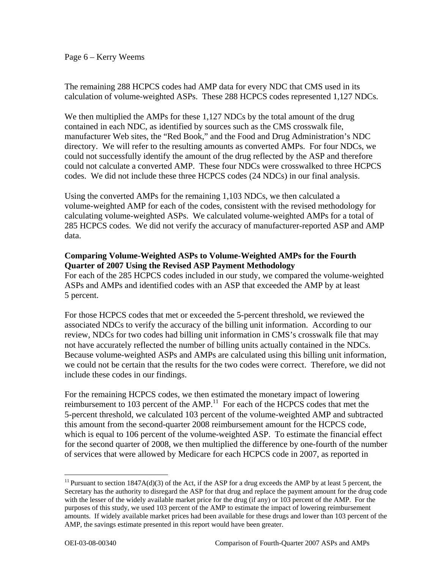Page 6 – Kerry Weems

The remaining 288 HCPCS codes had AMP data for every NDC that CMS used in its calculation of volume-weighted ASPs. These 288 HCPCS codes represented 1,127 NDCs.

We then multiplied the AMPs for these 1,127 NDCs by the total amount of the drug contained in each NDC, as identified by sources such as the CMS crosswalk file, manufacturer Web sites, the "Red Book," and the Food and Drug Administration's NDC directory. We will refer to the resulting amounts as converted AMPs. For four NDCs, we could not successfully identify the amount of the drug reflected by the ASP and therefore could not calculate a converted AMP. These four NDCs were crosswalked to three HCPCS codes. We did not include these three HCPCS codes (24 NDCs) in our final analysis.

Using the converted AMPs for the remaining 1,103 NDCs, we then calculated a volume-weighted AMP for each of the codes, consistent with the revised methodology for calculating volume-weighted ASPs. We calculated volume-weighted AMPs for a total of 285 HCPCS codes. We did not verify the accuracy of manufacturer-reported ASP and AMP data.

## **Comparing Volume-Weighted ASPs to Volume-Weighted AMPs for the Fourth Quarter of 2007 Using the Revised ASP Payment Methodology**

For each of the 285 HCPCS codes included in our study, we compared the volume-weighted ASPs and AMPs and identified codes with an ASP that exceeded the AMP by at least 5 percent.

For those HCPCS codes that met or exceeded the 5-percent threshold, we reviewed the associated NDCs to verify the accuracy of the billing unit information. According to our review, NDCs for two codes had billing unit information in CMS's crosswalk file that may not have accurately reflected the number of billing units actually contained in the NDCs. Because volume-weighted ASPs and AMPs are calculated using this billing unit information, we could not be certain that the results for the two codes were correct. Therefore, we did not include these codes in our findings.

For the remaining HCPCS codes, we then estimated the monetary impact of lowering reimbursement to 103 percent of the  $AMP<sup>11</sup>$ . For each of the HCPCS codes that met the 5-percent threshold, we calculated 103 percent of the volume-weighted AMP and subtracted this amount from the second-quarter 2008 reimbursement amount for the HCPCS code, which is equal to 106 percent of the volume-weighted ASP. To estimate the financial effect for the second quarter of 2008, we then multiplied the difference by one-fourth of the number of services that were allowed by Medicare for each HCPCS code in 2007, as reported in

 purposes of this study, we used 103 percent of the AMP to estimate the impact of lowering reimbursement amounts. If widely available market prices had been available for these drugs and lower than 103 percent of the <sup>11</sup> Pursuant to section  $1847A(d)(3)$  of the Act, if the ASP for a drug exceeds the AMP by at least 5 percent, the Secretary has the authority to disregard the ASP for that drug and replace the payment amount for the drug code with the lesser of the widely available market price for the drug (if any) or 103 percent of the AMP. For the AMP, the savings estimate presented in this report would have been greater.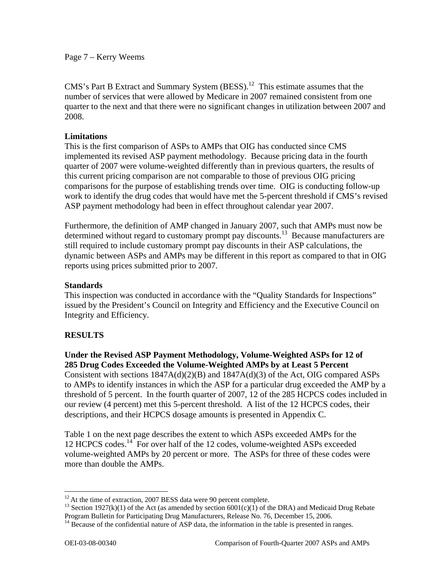Page 7 – Kerry Weems

CMS's Part B Extract and Summary System  $(BESS)$ <sup>12</sup> This estimate assumes that the number of services that were allowed by Medicare in 2007 remained consistent from one quarter to the next and that there were no significant changes in utilization between 2007 and 2008.

## **Limitations**

This is the first comparison of ASPs to AMPs that OIG has conducted since CMS implemented its revised ASP payment methodology. Because pricing data in the fourth quarter of 2007 were volume-weighted differently than in previous quarters, the results of this current pricing comparison are not comparable to those of previous OIG pricing comparisons for the purpose of establishing trends over time. OIG is conducting follow-up work to identify the drug codes that would have met the 5-percent threshold if CMS's revised ASP payment methodology had been in effect throughout calendar year 2007.

Furthermore, the definition of AMP changed in January 2007, such that AMPs must now be determined without regard to customary prompt pay discounts.<sup>13</sup> Because manufacturers are still required to include customary prompt pay discounts in their ASP calculations, the dynamic between ASPs and AMPs may be different in this report as compared to that in OIG reports using prices submitted prior to 2007.

## **Standards**

This inspection was conducted in accordance with the "Quality Standards for Inspections" issued by the President's Council on Integrity and Efficiency and the Executive Council on Integrity and Efficiency.

# **RESULTS**

**Under the Revised ASP Payment Methodology, Volume-Weighted ASPs for 12 of 285 Drug Codes Exceeded the Volume-Weighted AMPs by at Least 5 Percent**  Consistent with sections  $1847A(d)(2)(B)$  and  $1847A(d)(3)$  of the Act, OIG compared ASPs to AMPs to identify instances in which the ASP for a particular drug exceeded the AMP by a threshold of 5 percent. In the fourth quarter of 2007, 12 of the 285 HCPCS codes included in our review (4 percent) met this 5-percent threshold. A list of the 12 HCPCS codes, their descriptions, and their HCPCS dosage amounts is presented in Appendix C.

Table 1 on the next page describes the extent to which ASPs exceeded AMPs for the 12 HCPCS codes.<sup>14</sup> For over half of the 12 codes, volume-weighted ASPs exceeded volume-weighted AMPs by 20 percent or more. The ASPs for three of these codes were more than double the AMPs.

 $12$  At the time of extraction, 2007 BESS data were 90 percent complete.

<sup>&</sup>lt;sup>13</sup> Section 1927(k)(1) of the Act (as amended by section 6001(c)(1) of the DRA) and Medicaid Drug Rebate Program Bulletin for Participating Drug Manufacturers, Release No. 76, December 15, 2006.

 $14$  Because of the confidential nature of ASP data, the information in the table is presented in ranges.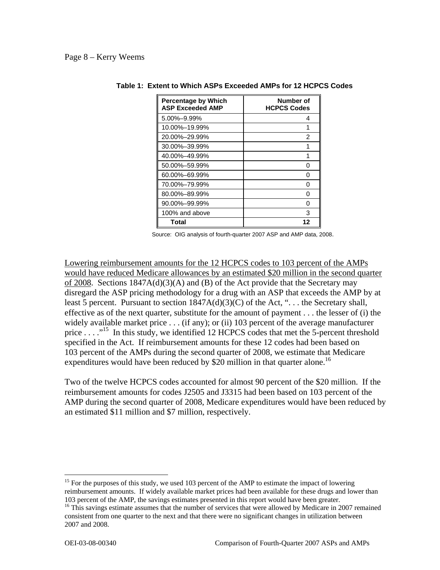#### Page 8 – Kerry Weems

| <b>Percentage by Which</b><br><b>ASP Exceeded AMP</b> | Number of<br><b>HCPCS Codes</b> |
|-------------------------------------------------------|---------------------------------|
| 5.00%-9.99%                                           | 4                               |
| 10.00%-19.99%                                         | 1                               |
| 20.00%–29.99%                                         | 2                               |
| 30.00%-39.99%                                         |                                 |
| 40.00%-49.99%                                         |                                 |
| 50.00%-59.99%                                         | n                               |
| 60.00%-69.99%                                         | n                               |
| 70.00%-79.99%                                         | n                               |
| 80.00%-89.99%                                         | n                               |
| 90.00%-99.99%                                         |                                 |
| 100% and above                                        | з                               |
| Total                                                 | 12                              |

#### **Table 1: Extent to Which ASPs Exceeded AMPs for 12 HCPCS Codes**

Source: OIG analysis of fourth-quarter 2007 ASP and AMP data, 2008.

Lowering reimbursement amounts for the 12 HCPCS codes to 103 percent of the AMPs would have reduced Medicare allowances by an estimated \$20 million in the second quarter of 2008. Sections  $1847A(d)(3)(A)$  and (B) of the Act provide that the Secretary may disregard the ASP pricing methodology for a drug with an ASP that exceeds the AMP by at least 5 percent. Pursuant to section  $1847A(d)(3)(C)$  of the Act, "... the Secretary shall, effective as of the next quarter, substitute for the amount of payment . . . the lesser of (i) the widely available market price . . . (if any); or (ii) 103 percent of the average manufacturer price  $\dots$  <sup>15</sup>. In this study, we identified 12 HCPCS codes that met the 5-percent threshold specified in the Act. If reimbursement amounts for these 12 codes had been based on 103 percent of the AMPs during the second quarter of 2008, we estimate that Medicare expenditures would have been reduced by \$20 million in that quarter alone.<sup>16</sup>

Two of the twelve HCPCS codes accounted for almost 90 percent of the \$20 million. If the reimbursement amounts for codes J2505 and J3315 had been based on 103 percent of the AMP during the second quarter of 2008, Medicare expenditures would have been reduced by an estimated \$11 million and \$7 million, respectively.

 103 percent of the AMP, the savings estimates presented in this report would have been greater. <sup>15</sup> For the purposes of this study, we used 103 percent of the AMP to estimate the impact of lowering reimbursement amounts. If widely available market prices had been available for these drugs and lower than

<sup>&</sup>lt;sup>16</sup> This savings estimate assumes that the number of services that were allowed by Medicare in 2007 remained consistent from one quarter to the next and that there were no significant changes in utilization between 2007 and 2008.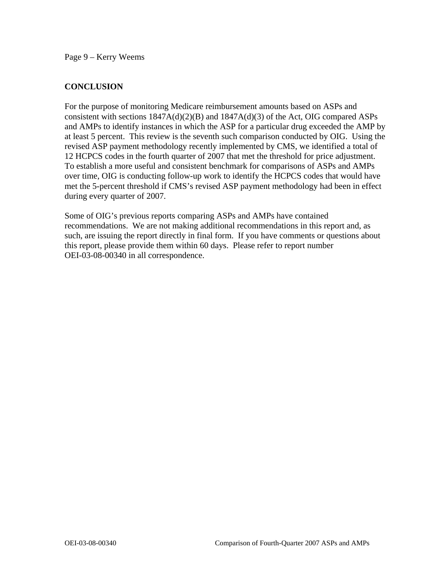Page 9 – Kerry Weems

# **CONCLUSION**

For the purpose of monitoring Medicare reimbursement amounts based on ASPs and consistent with sections 1847A(d)(2)(B) and 1847A(d)(3) of the Act, OIG compared ASPs and AMPs to identify instances in which the ASP for a particular drug exceeded the AMP by at least 5 percent. This review is the seventh such comparison conducted by OIG. Using the revised ASP payment methodology recently implemented by CMS, we identified a total of 12 HCPCS codes in the fourth quarter of 2007 that met the threshold for price adjustment. To establish a more useful and consistent benchmark for comparisons of ASPs and AMPs over time, OIG is conducting follow-up work to identify the HCPCS codes that would have met the 5-percent threshold if CMS's revised ASP payment methodology had been in effect during every quarter of 2007.

Some of OIG's previous reports comparing ASPs and AMPs have contained recommendations. We are not making additional recommendations in this report and, as such, are issuing the report directly in final form. If you have comments or questions about this report, please provide them within 60 days. Please refer to report number OEI-03-08-00340 in all correspondence.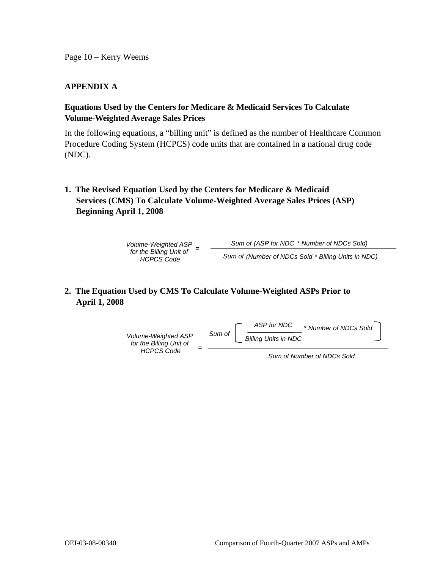Page 10 – Kerry Weems

# **APPENDIX A**

# **Equations Used by the Centers for Medicare & Medicaid Services To Calculate Volume-Weighted Average Sales Prices**

In the following equations, a "billing unit" is defined as the number of Healthcare Common Procedure Coding System (HCPCS) code units that are contained in a national drug code (NDC).

**1. The Revised Equation Used by the Centers for Medicare & Medicaid Services (CMS) To Calculate Volume-Weighted Average Sales Prices (ASP) Beginning April 1, 2008** 

*Volume-Weighted ASP Sum of (ASP for NDC* \* *Number of NDCs Sold)* **<sup>=</sup>***for the Billing Unit of Sum of (Number of NDCs Sold* \* *Billing Units in NDC) HCPCS Code* 

# **2. The Equation Used by CMS To Calculate Volume-Weighted ASPs Prior to April 1, 2008**



 *Sum of Number of NDCs Sold*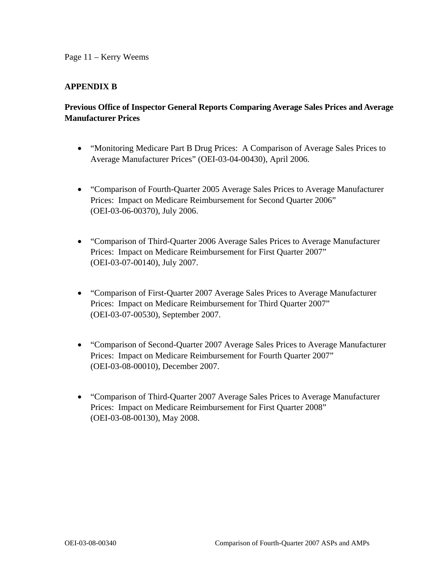# **APPENDIX B**

# **Previous Office of Inspector General Reports Comparing Average Sales Prices and Average Manufacturer Prices**

- "Monitoring Medicare Part B Drug Prices: A Comparison of Average Sales Prices to Average Manufacturer Prices" (OEI-03-04-00430), April 2006.
- "Comparison of Fourth-Quarter 2005 Average Sales Prices to Average Manufacturer Prices: Impact on Medicare Reimbursement for Second Quarter 2006" (OEI-03-06-00370), July 2006.
- "Comparison of Third-Quarter 2006 Average Sales Prices to Average Manufacturer Prices: Impact on Medicare Reimbursement for First Quarter 2007" (OEI-03-07-00140), July 2007.
- "Comparison of First-Quarter 2007 Average Sales Prices to Average Manufacturer Prices: Impact on Medicare Reimbursement for Third Quarter 2007" (OEI-03-07-00530), September 2007.
- "Comparison of Second-Quarter 2007 Average Sales Prices to Average Manufacturer Prices: Impact on Medicare Reimbursement for Fourth Quarter 2007" (OEI-03-08-00010), December 2007.
- "Comparison of Third-Quarter 2007 Average Sales Prices to Average Manufacturer Prices: Impact on Medicare Reimbursement for First Quarter 2008" (OEI-03-08-00130), May 2008.